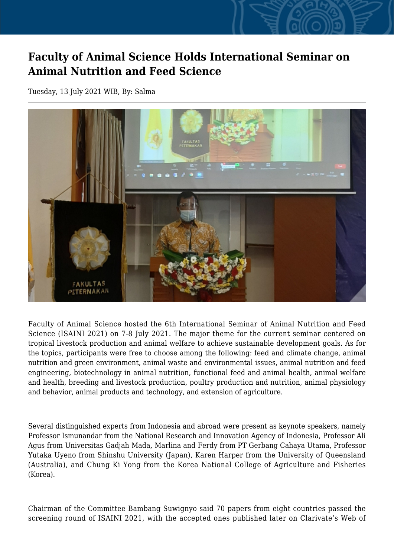## **Faculty of Animal Science Holds International Seminar on Animal Nutrition and Feed Science**

Tuesday, 13 July 2021 WIB, By: Salma



Faculty of Animal Science hosted the 6th International Seminar of Animal Nutrition and Feed Science (ISAINI 2021) on 7-8 July 2021. The major theme for the current seminar centered on tropical livestock production and animal welfare to achieve sustainable development goals. As for the topics, participants were free to choose among the following: feed and climate change, animal nutrition and green environment, animal waste and environmental issues, animal nutrition and feed engineering, biotechnology in animal nutrition, functional feed and animal health, animal welfare and health, breeding and livestock production, poultry production and nutrition, animal physiology and behavior, animal products and technology, and extension of agriculture.

Several distinguished experts from Indonesia and abroad were present as keynote speakers, namely Professor Ismunandar from the National Research and Innovation Agency of Indonesia, Professor Ali Agus from Universitas Gadjah Mada, Marlina and Ferdy from PT Gerbang Cahaya Utama, Professor Yutaka Uyeno from Shinshu University (Japan), Karen Harper from the University of Queensland (Australia), and Chung Ki Yong from the Korea National College of Agriculture and Fisheries (Korea).

Chairman of the Committee Bambang Suwignyo said 70 papers from eight countries passed the screening round of ISAINI 2021, with the accepted ones published later on Clarivate's Web of